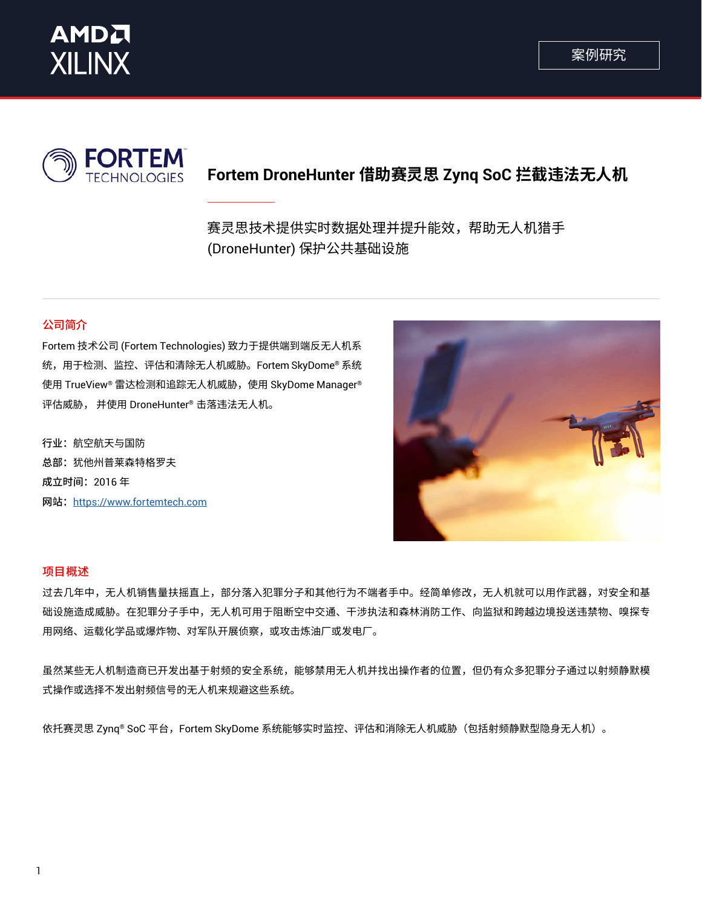



# **Fortem DroneHunter 借助赛灵思 Zynq SoC 拦截违法无人机**

赛灵思技术提供实时数据处理并提升能效,帮助无人机猎手 (DroneHunter) 保护公共基础设施

## 公司简介

Fortem 技术公司 (Fortem Technologies) 致力于提供端到端反无人机系 统,用于检测、监控、评估和清除无人机威胁。Fortem SkyDome® 系统 使用 TrueView® 雷达检测和追踪无人机威胁,使用 SkyDome Manager® 评估威胁, 并使用 DroneHunter® 击落违法无人机。

行业: 航空航天与国防 总部: 犹他州普莱森特格罗夫 成立时间: 2016年 网站: https://www.fortemtech.com



### 项目概述

过去几年中,无人机销售量扶摇直上,部分落入犯罪分子和其他行为不端者手中。经简单修改,无人机就可以用作武器,对安全和基 础设施造成威胁。在犯罪分子中,无人机可用于阻断空中交通、干涉执法和森林消防工作、向监狱和跨越边境投送违禁物、嗅探专 用网络、运载化学品或爆炸物、对军队开展侦察,或攻击炼油厂或发电厂。

虽然某些无人机制造商已开发出基于射频的安全系统,能够禁用无人机并找出操作者的位置,但仍有众多犯罪分子通过以射频静默模 式操作或选择不发出射频信号的无人机来规避这些系统。

依托赛灵思 Zynq® SoC 平台,Fortem SkyDome 系统能够实时监控、评估和消除无人机威胁(包括射频静默型隐身无人机)。